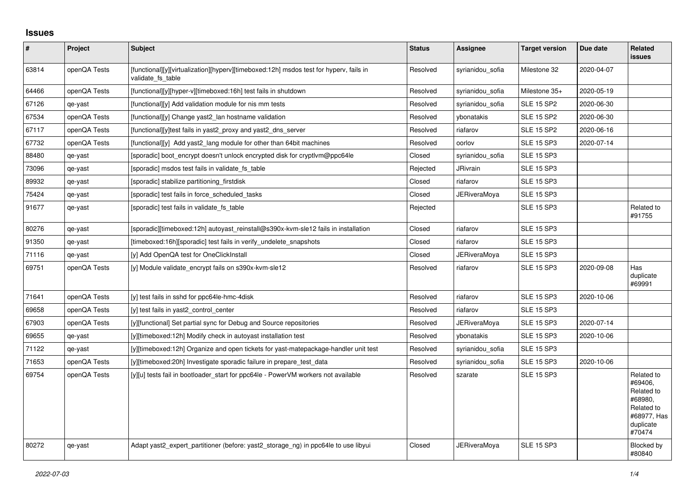## **Issues**

| $\vert$ # | <b>Project</b> | <b>Subject</b>                                                                                              | <b>Status</b> | <b>Assignee</b>     | <b>Target version</b> | Due date   | Related<br><b>issues</b>                                                                           |
|-----------|----------------|-------------------------------------------------------------------------------------------------------------|---------------|---------------------|-----------------------|------------|----------------------------------------------------------------------------------------------------|
| 63814     | openQA Tests   | [functional][y][virtualization][hyperv][timeboxed:12h] msdos test for hyperv, fails in<br>validate fs table | Resolved      | syrianidou sofia    | Milestone 32          | 2020-04-07 |                                                                                                    |
| 64466     | openQA Tests   | [functional][y][hyper-v][timeboxed:16h] test fails in shutdown                                              | Resolved      | syrianidou sofia    | Milestone 35+         | 2020-05-19 |                                                                                                    |
| 67126     | qe-yast        | [functional][y] Add validation module for nis mm tests                                                      | Resolved      | syrianidou_sofia    | <b>SLE 15 SP2</b>     | 2020-06-30 |                                                                                                    |
| 67534     | openQA Tests   | [functional][y] Change yast2 lan hostname validation                                                        | Resolved      | vbonatakis          | <b>SLE 15 SP2</b>     | 2020-06-30 |                                                                                                    |
| 67117     | openQA Tests   | [functional][y]test fails in yast2 proxy and yast2 dns server                                               | Resolved      | riafarov            | <b>SLE 15 SP2</b>     | 2020-06-16 |                                                                                                    |
| 67732     | openQA Tests   | [functional][y] Add yast2_lang module for other than 64bit machines                                         | Resolved      | oorlov              | <b>SLE 15 SP3</b>     | 2020-07-14 |                                                                                                    |
| 88480     | qe-yast        | [sporadic] boot encrypt doesn't unlock encrypted disk for cryptlym@ppc64le                                  | Closed        | syrianidou sofia    | <b>SLE 15 SP3</b>     |            |                                                                                                    |
| 73096     | qe-yast        | [sporadic] msdos test fails in validate fs table                                                            | Rejected      | JRivrain            | <b>SLE 15 SP3</b>     |            |                                                                                                    |
| 89932     | qe-yast        | [sporadic] stabilize partitioning firstdisk                                                                 | Closed        | riafarov            | <b>SLE 15 SP3</b>     |            |                                                                                                    |
| 75424     | qe-yast        | [sporadic] test fails in force_scheduled_tasks                                                              | Closed        | <b>JERiveraMoya</b> | <b>SLE 15 SP3</b>     |            |                                                                                                    |
| 91677     | qe-yast        | [sporadic] test fails in validate fs table                                                                  | Rejected      |                     | <b>SLE 15 SP3</b>     |            | Related to<br>#91755                                                                               |
| 80276     | qe-yast        | [sporadic][timeboxed:12h] autoyast reinstall@s390x-kvm-sle12 fails in installation                          | Closed        | riafarov            | <b>SLE 15 SP3</b>     |            |                                                                                                    |
| 91350     | qe-yast        | [timeboxed:16h][sporadic] test fails in verify_undelete_snapshots                                           | Closed        | riafarov            | <b>SLE 15 SP3</b>     |            |                                                                                                    |
| 71116     | qe-yast        | [y] Add OpenQA test for OneClickInstall                                                                     | Closed        | JERiveraMoya        | <b>SLE 15 SP3</b>     |            |                                                                                                    |
| 69751     | openQA Tests   | [y] Module validate encrypt fails on s390x-kvm-sle12                                                        | Resolved      | riafarov            | <b>SLE 15 SP3</b>     | 2020-09-08 | Has<br>duplicate<br>#69991                                                                         |
| 71641     | openQA Tests   | [y] test fails in sshd for ppc64le-hmc-4disk                                                                | Resolved      | riafarov            | <b>SLE 15 SP3</b>     | 2020-10-06 |                                                                                                    |
| 69658     | openQA Tests   | [y] test fails in yast2 control center                                                                      | Resolved      | riafarov            | <b>SLE 15 SP3</b>     |            |                                                                                                    |
| 67903     | openQA Tests   | [y][functional] Set partial sync for Debug and Source repositories                                          | Resolved      | <b>JERiveraMoya</b> | <b>SLE 15 SP3</b>     | 2020-07-14 |                                                                                                    |
| 69655     | qe-yast        | [y][timeboxed:12h] Modify check in autoyast installation test                                               | Resolved      | ybonatakis          | <b>SLE 15 SP3</b>     | 2020-10-06 |                                                                                                    |
| 71122     | qe-yast        | [y][timeboxed:12h] Organize and open tickets for yast-matepackage-handler unit test                         | Resolved      | syrianidou sofia    | <b>SLE 15 SP3</b>     |            |                                                                                                    |
| 71653     | openQA Tests   | [y][timeboxed:20h] Investigate sporadic failure in prepare test data                                        | Resolved      | syrianidou sofia    | <b>SLE 15 SP3</b>     | 2020-10-06 |                                                                                                    |
| 69754     | openQA Tests   | [y][u] tests fail in bootloader start for ppc64le - PowerVM workers not available                           | Resolved      | szarate             | <b>SLE 15 SP3</b>     |            | Related to<br>#69406,<br>Related to<br>#68980,<br>Related to<br>#68977, Has<br>duplicate<br>#70474 |
| 80272     | qe-yast        | Adapt yast2_expert_partitioner (before: yast2_storage_ng) in ppc64le to use libyui                          | Closed        | <b>JERiveraMova</b> | <b>SLE 15 SP3</b>     |            | Blocked by<br>#80840                                                                               |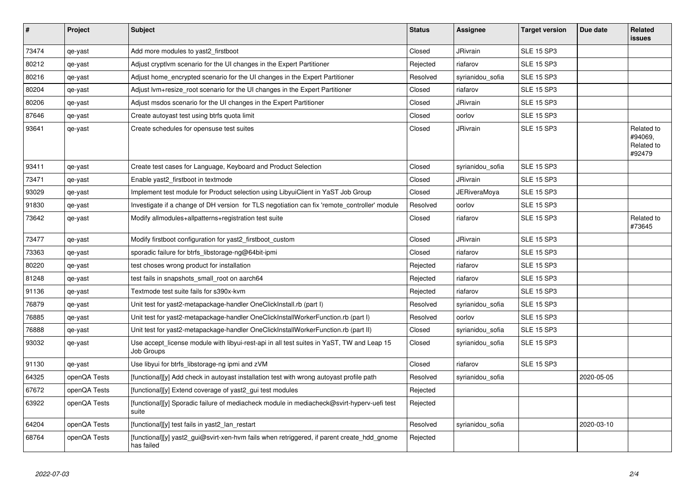| #     | <b>Project</b> | <b>Subject</b>                                                                                           | <b>Status</b> | Assignee            | <b>Target version</b> | Due date   | Related<br><b>issues</b>                      |
|-------|----------------|----------------------------------------------------------------------------------------------------------|---------------|---------------------|-----------------------|------------|-----------------------------------------------|
| 73474 | qe-yast        | Add more modules to yast2_firstboot                                                                      | Closed        | <b>JRivrain</b>     | <b>SLE 15 SP3</b>     |            |                                               |
| 80212 | qe-yast        | Adjust cryptivm scenario for the UI changes in the Expert Partitioner                                    | Rejected      | riafarov            | <b>SLE 15 SP3</b>     |            |                                               |
| 80216 | qe-yast        | Adjust home encrypted scenario for the UI changes in the Expert Partitioner                              | Resolved      | syrianidou_sofia    | <b>SLE 15 SP3</b>     |            |                                               |
| 80204 | qe-yast        | Adjust lvm+resize_root scenario for the UI changes in the Expert Partitioner                             | Closed        | riafarov            | <b>SLE 15 SP3</b>     |            |                                               |
| 80206 | qe-yast        | Adjust msdos scenario for the UI changes in the Expert Partitioner                                       | Closed        | <b>JRivrain</b>     | <b>SLE 15 SP3</b>     |            |                                               |
| 87646 | qe-yast        | Create autoyast test using btrfs quota limit                                                             | Closed        | oorlov              | <b>SLE 15 SP3</b>     |            |                                               |
| 93641 | qe-yast        | Create schedules for opensuse test suites                                                                | Closed        | <b>JRivrain</b>     | <b>SLE 15 SP3</b>     |            | Related to<br>#94069,<br>Related to<br>#92479 |
| 93411 | qe-yast        | Create test cases for Language, Keyboard and Product Selection                                           | Closed        | syrianidou sofia    | <b>SLE 15 SP3</b>     |            |                                               |
| 73471 | qe-yast        | Enable yast2 firstboot in textmode                                                                       | Closed        | <b>JRivrain</b>     | <b>SLE 15 SP3</b>     |            |                                               |
| 93029 | qe-yast        | Implement test module for Product selection using LibyuiClient in YaST Job Group                         | Closed        | <b>JERiveraMoya</b> | <b>SLE 15 SP3</b>     |            |                                               |
| 91830 | qe-yast        | Investigate if a change of DH version for TLS negotiation can fix 'remote controller' module             | Resolved      | oorlov              | <b>SLE 15 SP3</b>     |            |                                               |
| 73642 | qe-yast        | Modify allmodules+allpatterns+registration test suite                                                    | Closed        | riafarov            | <b>SLE 15 SP3</b>     |            | Related to<br>#73645                          |
| 73477 | qe-yast        | Modify firstboot configuration for yast2_firstboot_custom                                                | Closed        | JRivrain            | <b>SLE 15 SP3</b>     |            |                                               |
| 73363 | qe-yast        | sporadic failure for btrfs_libstorage-ng@64bit-ipmi                                                      | Closed        | riafarov            | <b>SLE 15 SP3</b>     |            |                                               |
| 80220 | qe-yast        | test choses wrong product for installation                                                               | Rejected      | riafarov            | <b>SLE 15 SP3</b>     |            |                                               |
| 81248 | qe-yast        | test fails in snapshots small root on aarch64                                                            | Rejected      | riafarov            | <b>SLE 15 SP3</b>     |            |                                               |
| 91136 | qe-yast        | Textmode test suite fails for s390x-kvm                                                                  | Rejected      | riafarov            | <b>SLE 15 SP3</b>     |            |                                               |
| 76879 | qe-yast        | Unit test for yast2-metapackage-handler OneClickInstall.rb (part I)                                      | Resolved      | syrianidou_sofia    | <b>SLE 15 SP3</b>     |            |                                               |
| 76885 | qe-yast        | Unit test for yast2-metapackage-handler OneClickInstallWorkerFunction.rb (part I)                        | Resolved      | oorlov              | <b>SLE 15 SP3</b>     |            |                                               |
| 76888 | qe-yast        | Unit test for yast2-metapackage-handler OneClickInstallWorkerFunction.rb (part II)                       | Closed        | syrianidou_sofia    | <b>SLE 15 SP3</b>     |            |                                               |
| 93032 | qe-yast        | Use accept license module with libyui-rest-api in all test suites in YaST, TW and Leap 15<br>Job Groups  | Closed        | syrianidou sofia    | <b>SLE 15 SP3</b>     |            |                                               |
| 91130 | qe-yast        | Use libyui for btrfs_libstorage-ng ipmi and zVM                                                          | Closed        | riafarov            | <b>SLE 15 SP3</b>     |            |                                               |
| 64325 | openQA Tests   | [functional][y] Add check in autoyast installation test with wrong autoyast profile path                 | Resolved      | syrianidou sofia    |                       | 2020-05-05 |                                               |
| 67672 | openQA Tests   | [functional][y] Extend coverage of yast2_gui test modules                                                | Rejected      |                     |                       |            |                                               |
| 63922 | openQA Tests   | [functional][y] Sporadic failure of mediacheck module in mediacheck@svirt-hyperv-uefi test<br>suite      | Rejected      |                     |                       |            |                                               |
| 64204 | openQA Tests   | [functional][y] test fails in yast2 lan restart                                                          | Resolved      | syrianidou sofia    |                       | 2020-03-10 |                                               |
| 68764 | openQA Tests   | [functional][y] yast2 gui@svirt-xen-hvm fails when retriggered, if parent create hdd gnome<br>has failed | Rejected      |                     |                       |            |                                               |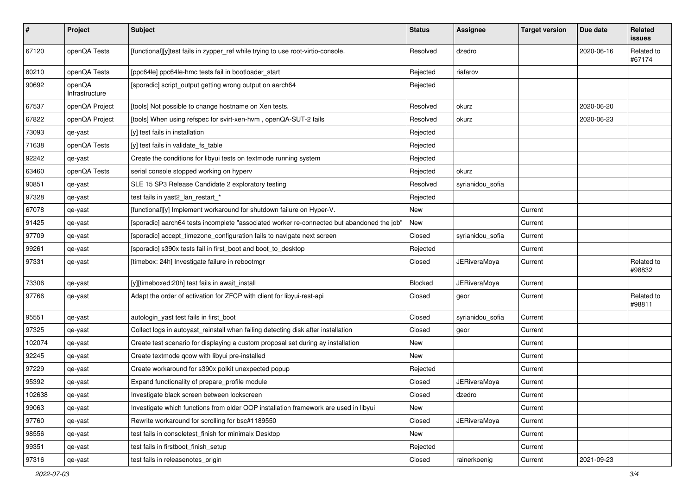| #      | Project                  | <b>Subject</b>                                                                             | <b>Status</b> | Assignee            | <b>Target version</b> | Due date   | Related<br>issues    |
|--------|--------------------------|--------------------------------------------------------------------------------------------|---------------|---------------------|-----------------------|------------|----------------------|
| 67120  | openQA Tests             | [functional][y]test fails in zypper_ref while trying to use root-virtio-console.           | Resolved      | dzedro              |                       | 2020-06-16 | Related to<br>#67174 |
| 80210  | openQA Tests             | [ppc64le] ppc64le-hmc tests fail in bootloader_start                                       | Rejected      | riafarov            |                       |            |                      |
| 90692  | openQA<br>Infrastructure | [sporadic] script_output getting wrong output on aarch64                                   | Rejected      |                     |                       |            |                      |
| 67537  | openQA Project           | [tools] Not possible to change hostname on Xen tests.                                      | Resolved      | okurz               |                       | 2020-06-20 |                      |
| 67822  | openQA Project           | [tools] When using refspec for svirt-xen-hvm, openQA-SUT-2 fails                           | Resolved      | okurz               |                       | 2020-06-23 |                      |
| 73093  | qe-yast                  | [y] test fails in installation                                                             | Rejected      |                     |                       |            |                      |
| 71638  | openQA Tests             | [y] test fails in validate_fs_table                                                        | Rejected      |                     |                       |            |                      |
| 92242  | qe-yast                  | Create the conditions for libyui tests on textmode running system                          | Rejected      |                     |                       |            |                      |
| 63460  | openQA Tests             | serial console stopped working on hyperv                                                   | Rejected      | okurz               |                       |            |                      |
| 90851  | qe-yast                  | SLE 15 SP3 Release Candidate 2 exploratory testing                                         | Resolved      | syrianidou_sofia    |                       |            |                      |
| 97328  | qe-yast                  | test fails in yast2_lan_restart_*                                                          | Rejected      |                     |                       |            |                      |
| 67078  | qe-yast                  | [functional][y] Implement workaround for shutdown failure on Hyper-V.                      | New           |                     | Current               |            |                      |
| 91425  | qe-yast                  | [sporadic] aarch64 tests incomplete "associated worker re-connected but abandoned the job" | New           |                     | Current               |            |                      |
| 97709  | qe-yast                  | [sporadic] accept_timezone_configuration fails to navigate next screen                     | Closed        | syrianidou_sofia    | Current               |            |                      |
| 99261  | qe-yast                  | [sporadic] s390x tests fail in first_boot and boot_to_desktop                              | Rejected      |                     | Current               |            |                      |
| 97331  | qe-yast                  | [timebox: 24h] Investigate failure in rebootmgr                                            | Closed        | <b>JERiveraMoya</b> | Current               |            | Related to<br>#98832 |
| 73306  | qe-yast                  | [y][timeboxed:20h] test fails in await_install                                             | Blocked       | <b>JERiveraMoya</b> | Current               |            |                      |
| 97766  | qe-yast                  | Adapt the order of activation for ZFCP with client for libyui-rest-api                     | Closed        | geor                | Current               |            | Related to<br>#98811 |
| 95551  | qe-yast                  | autologin_yast test fails in first_boot                                                    | Closed        | syrianidou_sofia    | Current               |            |                      |
| 97325  | qe-yast                  | Collect logs in autoyast_reinstall when failing detecting disk after installation          | Closed        | geor                | Current               |            |                      |
| 102074 | qe-yast                  | Create test scenario for displaying a custom proposal set during ay installation           | New           |                     | Current               |            |                      |
| 92245  | qe-yast                  | Create textmode qcow with libyui pre-installed                                             | New           |                     | Current               |            |                      |
| 97229  | qe-yast                  | Create workaround for s390x polkit unexpected popup                                        | Rejected      |                     | Current               |            |                      |
| 95392  | qe-yast                  | Expand functionality of prepare_profile module                                             | Closed        | JERiveraMoya        | Current               |            |                      |
| 102638 | qe-yast                  | Investigate black screen between lockscreen                                                | Closed        | dzedro              | Current               |            |                      |
| 99063  | qe-yast                  | Investigate which functions from older OOP installation framework are used in libyui       | New           |                     | Current               |            |                      |
| 97760  | qe-yast                  | Rewrite workaround for scrolling for bsc#1189550                                           | Closed        | <b>JERiveraMoya</b> | Current               |            |                      |
| 98556  | qe-yast                  | test fails in consoletest finish for minimalx Desktop                                      | New           |                     | Current               |            |                      |
| 99351  | qe-yast                  | test fails in firstboot_finish_setup                                                       | Rejected      |                     | Current               |            |                      |
| 97316  | qe-yast                  | test fails in releasenotes_origin                                                          | Closed        | rainerkoenig        | Current               | 2021-09-23 |                      |